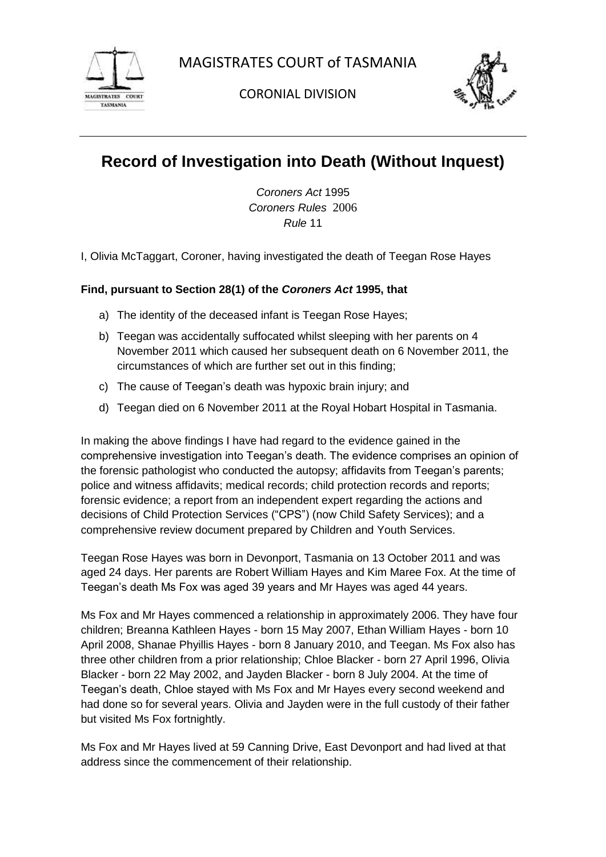

CORONIAL DIVISION



# **Record of Investigation into Death (Without Inquest)**

*Coroners Act* 1995 *Coroners Rules* 2006 *Rule* 11

I, Olivia McTaggart, Coroner, having investigated the death of Teegan Rose Hayes

## **Find, pursuant to Section 28(1) of the** *Coroners Act* **1995, that**

- a) The identity of the deceased infant is Teegan Rose Hayes;
- b) Teegan was accidentally suffocated whilst sleeping with her parents on 4 November 2011 which caused her subsequent death on 6 November 2011, the circumstances of which are further set out in this finding;
- c) The cause of Teegan's death was hypoxic brain injury; and
- d) Teegan died on 6 November 2011 at the Royal Hobart Hospital in Tasmania.

In making the above findings I have had regard to the evidence gained in the comprehensive investigation into Teegan's death. The evidence comprises an opinion of the forensic pathologist who conducted the autopsy; affidavits from Teegan's parents; police and witness affidavits; medical records; child protection records and reports; forensic evidence; a report from an independent expert regarding the actions and decisions of Child Protection Services ("CPS") (now Child Safety Services); and a comprehensive review document prepared by Children and Youth Services.

Teegan Rose Hayes was born in Devonport, Tasmania on 13 October 2011 and was aged 24 days. Her parents are Robert William Hayes and Kim Maree Fox. At the time of Teegan's death Ms Fox was aged 39 years and Mr Hayes was aged 44 years.

Ms Fox and Mr Hayes commenced a relationship in approximately 2006. They have four children; Breanna Kathleen Hayes - born 15 May 2007, Ethan William Hayes - born 10 April 2008, Shanae Phyillis Hayes - born 8 January 2010, and Teegan. Ms Fox also has three other children from a prior relationship; Chloe Blacker - born 27 April 1996, Olivia Blacker - born 22 May 2002, and Jayden Blacker - born 8 July 2004. At the time of Teegan's death, Chloe stayed with Ms Fox and Mr Hayes every second weekend and had done so for several years. Olivia and Jayden were in the full custody of their father but visited Ms Fox fortnightly.

Ms Fox and Mr Hayes lived at 59 Canning Drive, East Devonport and had lived at that address since the commencement of their relationship.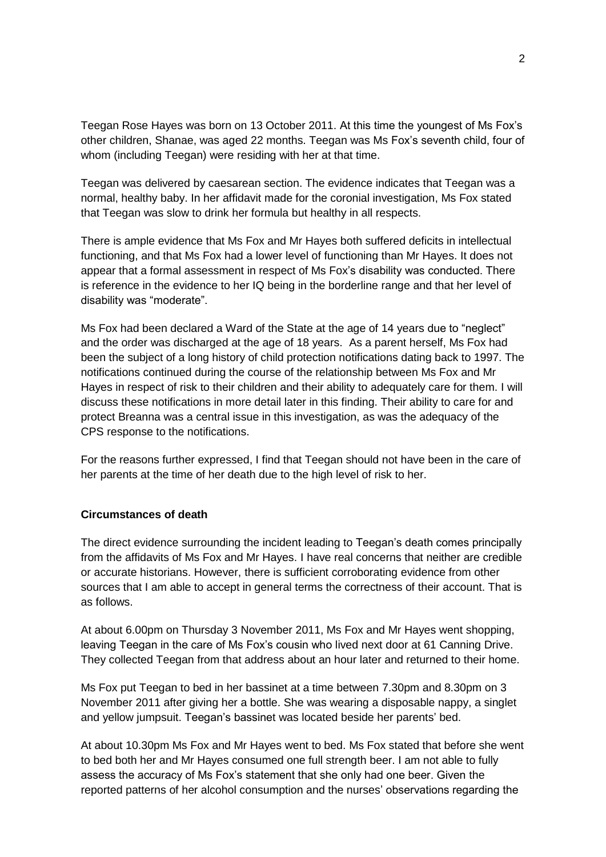Teegan Rose Hayes was born on 13 October 2011. At this time the youngest of Ms Fox's other children, Shanae, was aged 22 months. Teegan was Ms Fox's seventh child, four of whom (including Teegan) were residing with her at that time.

Teegan was delivered by caesarean section. The evidence indicates that Teegan was a normal, healthy baby. In her affidavit made for the coronial investigation, Ms Fox stated that Teegan was slow to drink her formula but healthy in all respects.

There is ample evidence that Ms Fox and Mr Hayes both suffered deficits in intellectual functioning, and that Ms Fox had a lower level of functioning than Mr Hayes. It does not appear that a formal assessment in respect of Ms Fox's disability was conducted. There is reference in the evidence to her IQ being in the borderline range and that her level of disability was "moderate".

Ms Fox had been declared a Ward of the State at the age of 14 years due to "neglect" and the order was discharged at the age of 18 years. As a parent herself, Ms Fox had been the subject of a long history of child protection notifications dating back to 1997. The notifications continued during the course of the relationship between Ms Fox and Mr Hayes in respect of risk to their children and their ability to adequately care for them. I will discuss these notifications in more detail later in this finding. Their ability to care for and protect Breanna was a central issue in this investigation, as was the adequacy of the CPS response to the notifications.

For the reasons further expressed, I find that Teegan should not have been in the care of her parents at the time of her death due to the high level of risk to her.

#### **Circumstances of death**

The direct evidence surrounding the incident leading to Teegan's death comes principally from the affidavits of Ms Fox and Mr Hayes. I have real concerns that neither are credible or accurate historians. However, there is sufficient corroborating evidence from other sources that I am able to accept in general terms the correctness of their account. That is as follows.

At about 6.00pm on Thursday 3 November 2011, Ms Fox and Mr Hayes went shopping, leaving Teegan in the care of Ms Fox's cousin who lived next door at 61 Canning Drive. They collected Teegan from that address about an hour later and returned to their home.

Ms Fox put Teegan to bed in her bassinet at a time between 7.30pm and 8.30pm on 3 November 2011 after giving her a bottle. She was wearing a disposable nappy, a singlet and yellow jumpsuit. Teegan's bassinet was located beside her parents' bed.

At about 10.30pm Ms Fox and Mr Hayes went to bed. Ms Fox stated that before she went to bed both her and Mr Hayes consumed one full strength beer. I am not able to fully assess the accuracy of Ms Fox's statement that she only had one beer. Given the reported patterns of her alcohol consumption and the nurses' observations regarding the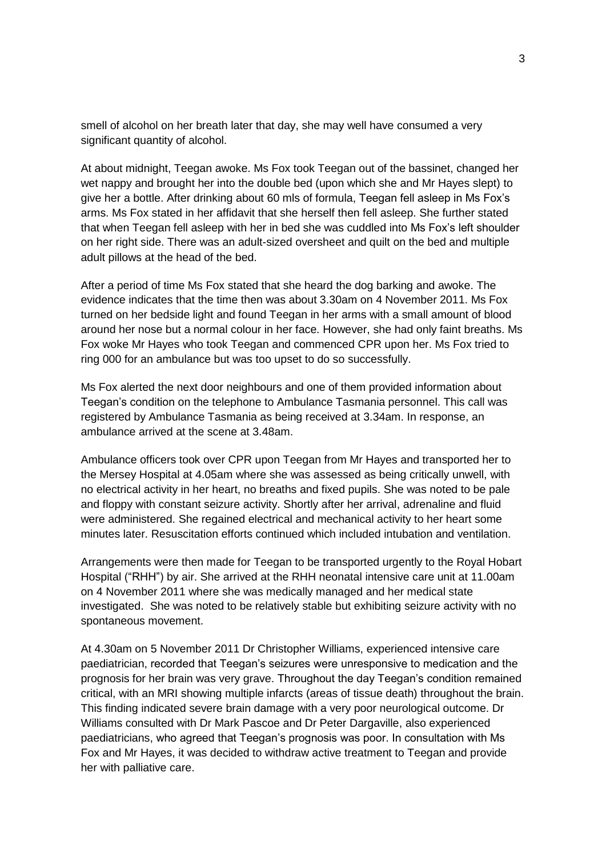smell of alcohol on her breath later that day, she may well have consumed a very significant quantity of alcohol.

At about midnight, Teegan awoke. Ms Fox took Teegan out of the bassinet, changed her wet nappy and brought her into the double bed (upon which she and Mr Hayes slept) to give her a bottle. After drinking about 60 mls of formula, Teegan fell asleep in Ms Fox's arms. Ms Fox stated in her affidavit that she herself then fell asleep. She further stated that when Teegan fell asleep with her in bed she was cuddled into Ms Fox's left shoulder on her right side. There was an adult-sized oversheet and quilt on the bed and multiple adult pillows at the head of the bed.

After a period of time Ms Fox stated that she heard the dog barking and awoke. The evidence indicates that the time then was about 3.30am on 4 November 2011. Ms Fox turned on her bedside light and found Teegan in her arms with a small amount of blood around her nose but a normal colour in her face. However, she had only faint breaths. Ms Fox woke Mr Hayes who took Teegan and commenced CPR upon her. Ms Fox tried to ring 000 for an ambulance but was too upset to do so successfully.

Ms Fox alerted the next door neighbours and one of them provided information about Teegan's condition on the telephone to Ambulance Tasmania personnel. This call was registered by Ambulance Tasmania as being received at 3.34am. In response, an ambulance arrived at the scene at 3.48am.

Ambulance officers took over CPR upon Teegan from Mr Hayes and transported her to the Mersey Hospital at 4.05am where she was assessed as being critically unwell, with no electrical activity in her heart, no breaths and fixed pupils. She was noted to be pale and floppy with constant seizure activity. Shortly after her arrival, adrenaline and fluid were administered. She regained electrical and mechanical activity to her heart some minutes later. Resuscitation efforts continued which included intubation and ventilation.

Arrangements were then made for Teegan to be transported urgently to the Royal Hobart Hospital ("RHH") by air. She arrived at the RHH neonatal intensive care unit at 11.00am on 4 November 2011 where she was medically managed and her medical state investigated. She was noted to be relatively stable but exhibiting seizure activity with no spontaneous movement.

At 4.30am on 5 November 2011 Dr Christopher Williams, experienced intensive care paediatrician, recorded that Teegan's seizures were unresponsive to medication and the prognosis for her brain was very grave. Throughout the day Teegan's condition remained critical, with an MRI showing multiple infarcts (areas of tissue death) throughout the brain. This finding indicated severe brain damage with a very poor neurological outcome. Dr Williams consulted with Dr Mark Pascoe and Dr Peter Dargaville, also experienced paediatricians, who agreed that Teegan's prognosis was poor. In consultation with Ms Fox and Mr Hayes, it was decided to withdraw active treatment to Teegan and provide her with palliative care.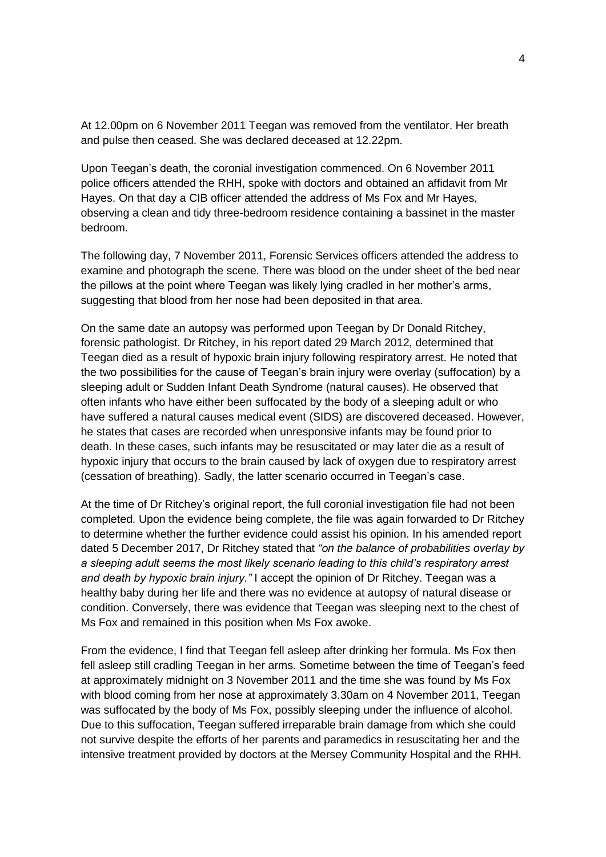At 12.00pm on 6 November 2011 Teegan was removed from the ventilator. Her breath and pulse then ceased. She was declared deceased at 12.22pm.

Upon Teegan's death, the coronial investigation commenced. On 6 November 2011 police officers attended the RHH, spoke with doctors and obtained an affidavit from Mr Hayes. On that day a CIB officer attended the address of Ms Fox and Mr Hayes, observing a clean and tidy three-bedroom residence containing a bassinet in the master bedroom.

The following day, 7 November 2011, Forensic Services officers attended the address to examine and photograph the scene. There was blood on the under sheet of the bed near the pillows at the point where Teegan was likely lying cradled in her mother's arms, suggesting that blood from her nose had been deposited in that area.

On the same date an autopsy was performed upon Teegan by Dr Donald Ritchey, forensic pathologist. Dr Ritchey, in his report dated 29 March 2012, determined that Teegan died as a result of hypoxic brain injury following respiratory arrest. He noted that the two possibilities for the cause of Teegan's brain injury were overlay (suffocation) by a sleeping adult or Sudden Infant Death Syndrome (natural causes). He observed that often infants who have either been suffocated by the body of a sleeping adult or who have suffered a natural causes medical event (SIDS) are discovered deceased. However, he states that cases are recorded when unresponsive infants may be found prior to death. In these cases, such infants may be resuscitated or may later die as a result of hypoxic injury that occurs to the brain caused by lack of oxygen due to respiratory arrest (cessation of breathing). Sadly, the latter scenario occurred in Teegan's case.

At the time of Dr Ritchey's original report, the full coronial investigation file had not been completed. Upon the evidence being complete, the file was again forwarded to Dr Ritchey to determine whether the further evidence could assist his opinion. In his amended report dated 5 December 2017, Dr Ritchey stated that *"on the balance of probabilities overlay by a sleeping adult seems the most likely scenario leading to this child's respiratory arrest and death by hypoxic brain injury."* I accept the opinion of Dr Ritchey. Teegan was a healthy baby during her life and there was no evidence at autopsy of natural disease or condition. Conversely, there was evidence that Teegan was sleeping next to the chest of Ms Fox and remained in this position when Ms Fox awoke.

From the evidence, I find that Teegan fell asleep after drinking her formula. Ms Fox then fell asleep still cradling Teegan in her arms. Sometime between the time of Teegan's feed at approximately midnight on 3 November 2011 and the time she was found by Ms Fox with blood coming from her nose at approximately 3.30am on 4 November 2011, Teegan was suffocated by the body of Ms Fox, possibly sleeping under the influence of alcohol. Due to this suffocation, Teegan suffered irreparable brain damage from which she could not survive despite the efforts of her parents and paramedics in resuscitating her and the intensive treatment provided by doctors at the Mersey Community Hospital and the RHH.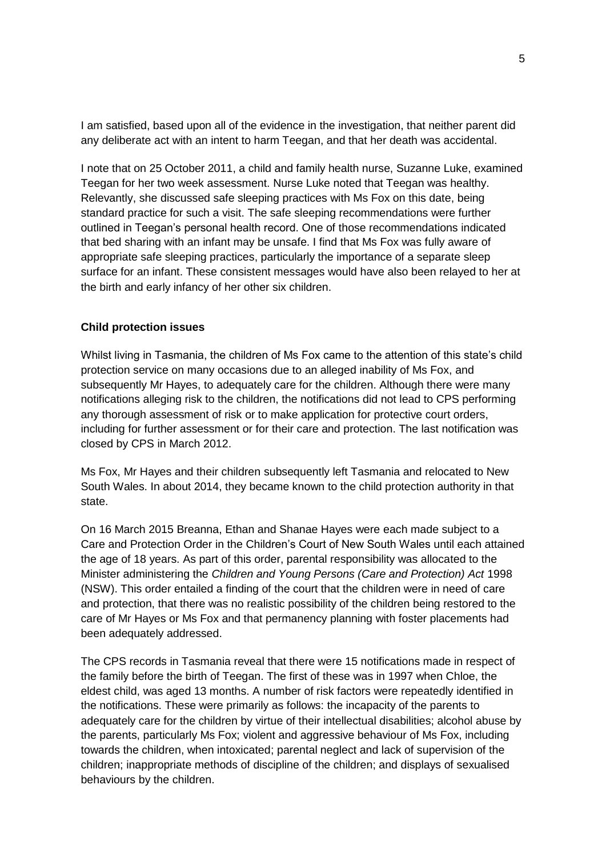I am satisfied, based upon all of the evidence in the investigation, that neither parent did any deliberate act with an intent to harm Teegan, and that her death was accidental.

I note that on 25 October 2011, a child and family health nurse, Suzanne Luke, examined Teegan for her two week assessment. Nurse Luke noted that Teegan was healthy. Relevantly, she discussed safe sleeping practices with Ms Fox on this date, being standard practice for such a visit. The safe sleeping recommendations were further outlined in Teegan's personal health record. One of those recommendations indicated that bed sharing with an infant may be unsafe. I find that Ms Fox was fully aware of appropriate safe sleeping practices, particularly the importance of a separate sleep surface for an infant. These consistent messages would have also been relayed to her at the birth and early infancy of her other six children.

#### **Child protection issues**

Whilst living in Tasmania, the children of Ms Fox came to the attention of this state's child protection service on many occasions due to an alleged inability of Ms Fox, and subsequently Mr Hayes, to adequately care for the children. Although there were many notifications alleging risk to the children, the notifications did not lead to CPS performing any thorough assessment of risk or to make application for protective court orders, including for further assessment or for their care and protection. The last notification was closed by CPS in March 2012.

Ms Fox, Mr Hayes and their children subsequently left Tasmania and relocated to New South Wales. In about 2014, they became known to the child protection authority in that state.

On 16 March 2015 Breanna, Ethan and Shanae Hayes were each made subject to a Care and Protection Order in the Children's Court of New South Wales until each attained the age of 18 years. As part of this order, parental responsibility was allocated to the Minister administering the *Children and Young Persons (Care and Protection) Act* 1998 (NSW). This order entailed a finding of the court that the children were in need of care and protection, that there was no realistic possibility of the children being restored to the care of Mr Hayes or Ms Fox and that permanency planning with foster placements had been adequately addressed.

The CPS records in Tasmania reveal that there were 15 notifications made in respect of the family before the birth of Teegan. The first of these was in 1997 when Chloe, the eldest child, was aged 13 months. A number of risk factors were repeatedly identified in the notifications. These were primarily as follows: the incapacity of the parents to adequately care for the children by virtue of their intellectual disabilities; alcohol abuse by the parents, particularly Ms Fox; violent and aggressive behaviour of Ms Fox, including towards the children, when intoxicated; parental neglect and lack of supervision of the children; inappropriate methods of discipline of the children; and displays of sexualised behaviours by the children.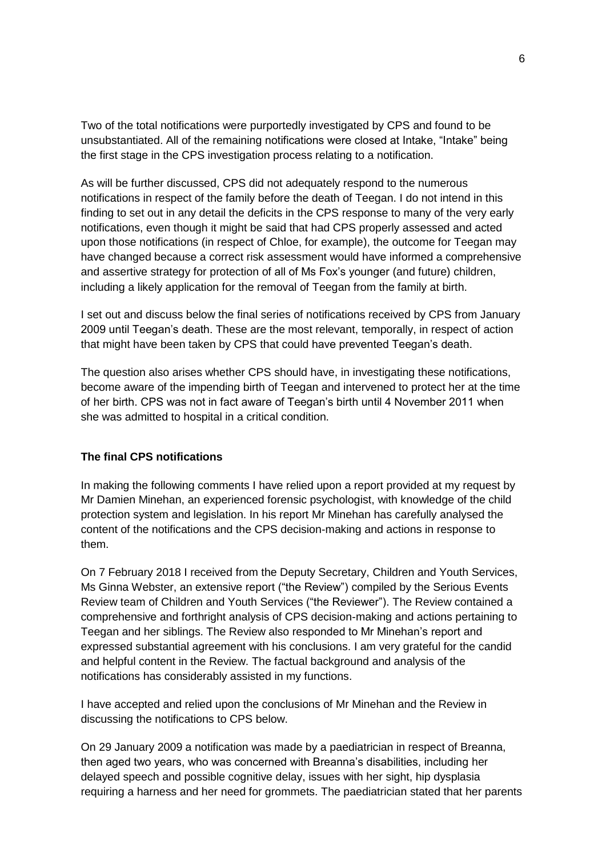Two of the total notifications were purportedly investigated by CPS and found to be unsubstantiated. All of the remaining notifications were closed at Intake, "Intake" being the first stage in the CPS investigation process relating to a notification.

As will be further discussed, CPS did not adequately respond to the numerous notifications in respect of the family before the death of Teegan. I do not intend in this finding to set out in any detail the deficits in the CPS response to many of the very early notifications, even though it might be said that had CPS properly assessed and acted upon those notifications (in respect of Chloe, for example), the outcome for Teegan may have changed because a correct risk assessment would have informed a comprehensive and assertive strategy for protection of all of Ms Fox's younger (and future) children, including a likely application for the removal of Teegan from the family at birth.

I set out and discuss below the final series of notifications received by CPS from January 2009 until Teegan's death. These are the most relevant, temporally, in respect of action that might have been taken by CPS that could have prevented Teegan's death.

The question also arises whether CPS should have, in investigating these notifications, become aware of the impending birth of Teegan and intervened to protect her at the time of her birth. CPS was not in fact aware of Teegan's birth until 4 November 2011 when she was admitted to hospital in a critical condition.

#### **The final CPS notifications**

In making the following comments I have relied upon a report provided at my request by Mr Damien Minehan, an experienced forensic psychologist, with knowledge of the child protection system and legislation. In his report Mr Minehan has carefully analysed the content of the notifications and the CPS decision-making and actions in response to them.

On 7 February 2018 I received from the Deputy Secretary, Children and Youth Services, Ms Ginna Webster, an extensive report ("the Review") compiled by the Serious Events Review team of Children and Youth Services ("the Reviewer"). The Review contained a comprehensive and forthright analysis of CPS decision-making and actions pertaining to Teegan and her siblings. The Review also responded to Mr Minehan's report and expressed substantial agreement with his conclusions. I am very grateful for the candid and helpful content in the Review. The factual background and analysis of the notifications has considerably assisted in my functions.

I have accepted and relied upon the conclusions of Mr Minehan and the Review in discussing the notifications to CPS below.

On 29 January 2009 a notification was made by a paediatrician in respect of Breanna, then aged two years, who was concerned with Breanna's disabilities, including her delayed speech and possible cognitive delay, issues with her sight, hip dysplasia requiring a harness and her need for grommets. The paediatrician stated that her parents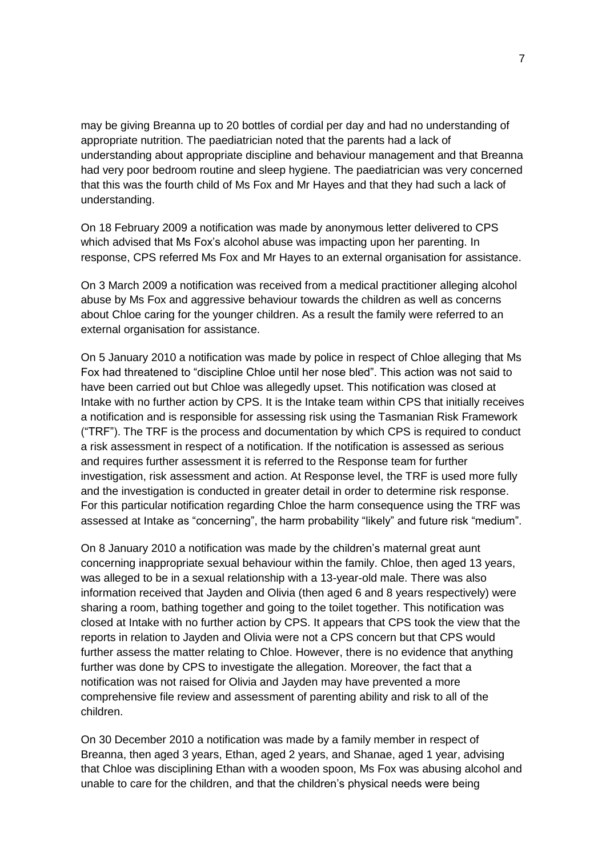may be giving Breanna up to 20 bottles of cordial per day and had no understanding of appropriate nutrition. The paediatrician noted that the parents had a lack of understanding about appropriate discipline and behaviour management and that Breanna had very poor bedroom routine and sleep hygiene. The paediatrician was very concerned that this was the fourth child of Ms Fox and Mr Hayes and that they had such a lack of understanding.

On 18 February 2009 a notification was made by anonymous letter delivered to CPS which advised that Ms Fox's alcohol abuse was impacting upon her parenting. In response, CPS referred Ms Fox and Mr Hayes to an external organisation for assistance.

On 3 March 2009 a notification was received from a medical practitioner alleging alcohol abuse by Ms Fox and aggressive behaviour towards the children as well as concerns about Chloe caring for the younger children. As a result the family were referred to an external organisation for assistance.

On 5 January 2010 a notification was made by police in respect of Chloe alleging that Ms Fox had threatened to "discipline Chloe until her nose bled". This action was not said to have been carried out but Chloe was allegedly upset. This notification was closed at Intake with no further action by CPS. It is the Intake team within CPS that initially receives a notification and is responsible for assessing risk using the Tasmanian Risk Framework ("TRF"). The TRF is the process and documentation by which CPS is required to conduct a risk assessment in respect of a notification. If the notification is assessed as serious and requires further assessment it is referred to the Response team for further investigation, risk assessment and action. At Response level, the TRF is used more fully and the investigation is conducted in greater detail in order to determine risk response. For this particular notification regarding Chloe the harm consequence using the TRF was assessed at Intake as "concerning", the harm probability "likely" and future risk "medium".

On 8 January 2010 a notification was made by the children's maternal great aunt concerning inappropriate sexual behaviour within the family. Chloe, then aged 13 years, was alleged to be in a sexual relationship with a 13-year-old male. There was also information received that Jayden and Olivia (then aged 6 and 8 years respectively) were sharing a room, bathing together and going to the toilet together. This notification was closed at Intake with no further action by CPS. It appears that CPS took the view that the reports in relation to Jayden and Olivia were not a CPS concern but that CPS would further assess the matter relating to Chloe. However, there is no evidence that anything further was done by CPS to investigate the allegation. Moreover, the fact that a notification was not raised for Olivia and Jayden may have prevented a more comprehensive file review and assessment of parenting ability and risk to all of the children.

On 30 December 2010 a notification was made by a family member in respect of Breanna, then aged 3 years, Ethan, aged 2 years, and Shanae, aged 1 year, advising that Chloe was disciplining Ethan with a wooden spoon, Ms Fox was abusing alcohol and unable to care for the children, and that the children's physical needs were being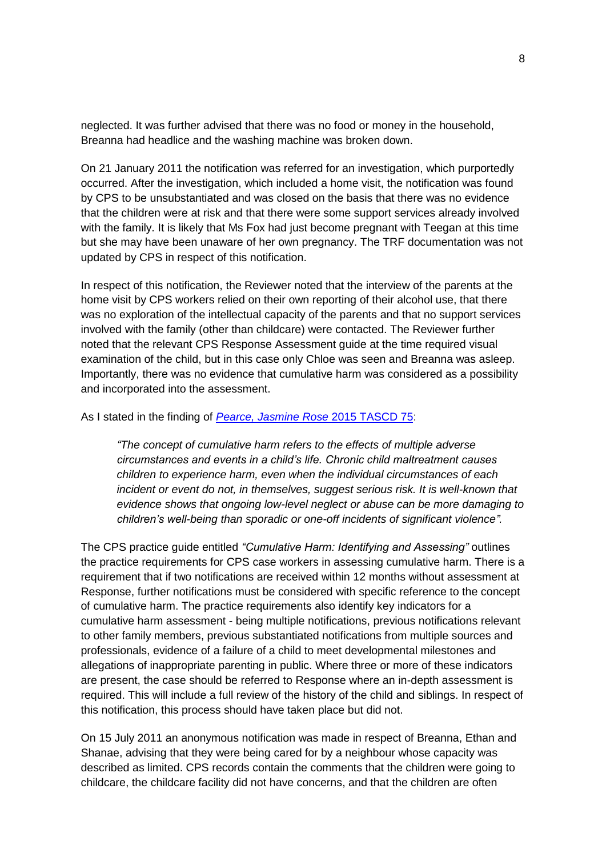neglected. It was further advised that there was no food or money in the household, Breanna had headlice and the washing machine was broken down.

On 21 January 2011 the notification was referred for an investigation, which purportedly occurred. After the investigation, which included a home visit, the notification was found by CPS to be unsubstantiated and was closed on the basis that there was no evidence that the children were at risk and that there were some support services already involved with the family. It is likely that Ms Fox had just become pregnant with Teegan at this time but she may have been unaware of her own pregnancy. The TRF documentation was not updated by CPS in respect of this notification.

In respect of this notification, the Reviewer noted that the interview of the parents at the home visit by CPS workers relied on their own reporting of their alcohol use, that there was no exploration of the intellectual capacity of the parents and that no support services involved with the family (other than childcare) were contacted. The Reviewer further noted that the relevant CPS Response Assessment guide at the time required visual examination of the child, but in this case only Chloe was seen and Breanna was asleep. Importantly, there was no evidence that cumulative harm was considered as a possibility and incorporated into the assessment.

#### As I stated in the finding of *[Pearce, Jasmine Rose](http://www.magistratescourt.tas.gov.au/__data/assets/pdf_file/0006/317148/De-identified_Finding-Pearce_-_27_May_2015.pdf)* 2015 TASCD 75:

*"The concept of cumulative harm refers to the effects of multiple adverse circumstances and events in a child's life. Chronic child maltreatment causes children to experience harm, even when the individual circumstances of each incident or event do not, in themselves, suggest serious risk. It is well-known that evidence shows that ongoing low-level neglect or abuse can be more damaging to children's well-being than sporadic or one-off incidents of significant violence".* 

The CPS practice guide entitled *"Cumulative Harm: Identifying and Assessing"* outlines the practice requirements for CPS case workers in assessing cumulative harm. There is a requirement that if two notifications are received within 12 months without assessment at Response, further notifications must be considered with specific reference to the concept of cumulative harm. The practice requirements also identify key indicators for a cumulative harm assessment - being multiple notifications, previous notifications relevant to other family members, previous substantiated notifications from multiple sources and professionals, evidence of a failure of a child to meet developmental milestones and allegations of inappropriate parenting in public. Where three or more of these indicators are present, the case should be referred to Response where an in-depth assessment is required. This will include a full review of the history of the child and siblings. In respect of this notification, this process should have taken place but did not.

On 15 July 2011 an anonymous notification was made in respect of Breanna, Ethan and Shanae, advising that they were being cared for by a neighbour whose capacity was described as limited. CPS records contain the comments that the children were going to childcare, the childcare facility did not have concerns, and that the children are often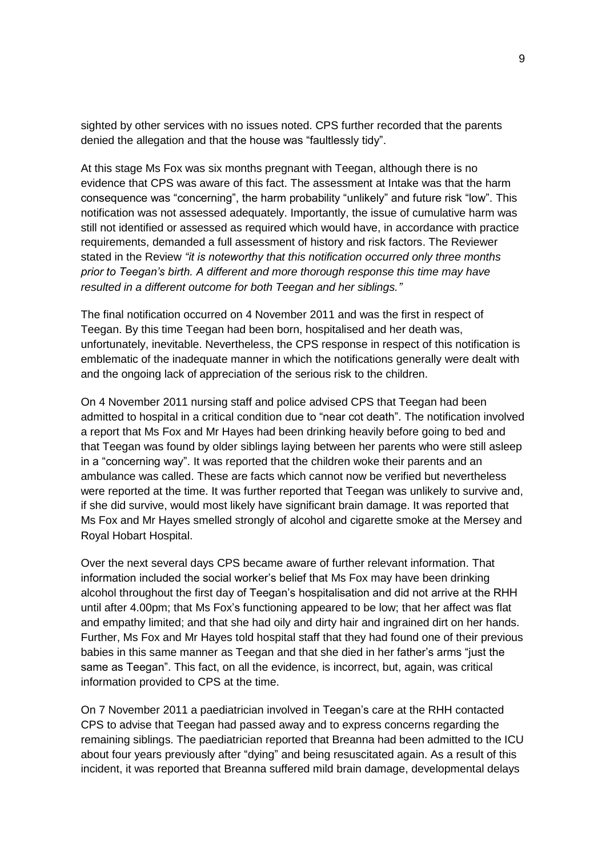sighted by other services with no issues noted. CPS further recorded that the parents denied the allegation and that the house was "faultlessly tidy".

At this stage Ms Fox was six months pregnant with Teegan, although there is no evidence that CPS was aware of this fact. The assessment at Intake was that the harm consequence was "concerning", the harm probability "unlikely" and future risk "low". This notification was not assessed adequately. Importantly, the issue of cumulative harm was still not identified or assessed as required which would have, in accordance with practice requirements, demanded a full assessment of history and risk factors. The Reviewer stated in the Review *"it is noteworthy that this notification occurred only three months prior to Teegan's birth. A different and more thorough response this time may have resulted in a different outcome for both Teegan and her siblings."*

The final notification occurred on 4 November 2011 and was the first in respect of Teegan. By this time Teegan had been born, hospitalised and her death was, unfortunately, inevitable. Nevertheless, the CPS response in respect of this notification is emblematic of the inadequate manner in which the notifications generally were dealt with and the ongoing lack of appreciation of the serious risk to the children.

On 4 November 2011 nursing staff and police advised CPS that Teegan had been admitted to hospital in a critical condition due to "near cot death". The notification involved a report that Ms Fox and Mr Hayes had been drinking heavily before going to bed and that Teegan was found by older siblings laying between her parents who were still asleep in a "concerning way". It was reported that the children woke their parents and an ambulance was called. These are facts which cannot now be verified but nevertheless were reported at the time. It was further reported that Teegan was unlikely to survive and, if she did survive, would most likely have significant brain damage. It was reported that Ms Fox and Mr Hayes smelled strongly of alcohol and cigarette smoke at the Mersey and Royal Hobart Hospital.

Over the next several days CPS became aware of further relevant information. That information included the social worker's belief that Ms Fox may have been drinking alcohol throughout the first day of Teegan's hospitalisation and did not arrive at the RHH until after 4.00pm; that Ms Fox's functioning appeared to be low; that her affect was flat and empathy limited; and that she had oily and dirty hair and ingrained dirt on her hands. Further, Ms Fox and Mr Hayes told hospital staff that they had found one of their previous babies in this same manner as Teegan and that she died in her father's arms "just the same as Teegan". This fact, on all the evidence, is incorrect, but, again, was critical information provided to CPS at the time.

On 7 November 2011 a paediatrician involved in Teegan's care at the RHH contacted CPS to advise that Teegan had passed away and to express concerns regarding the remaining siblings. The paediatrician reported that Breanna had been admitted to the ICU about four years previously after "dying" and being resuscitated again. As a result of this incident, it was reported that Breanna suffered mild brain damage, developmental delays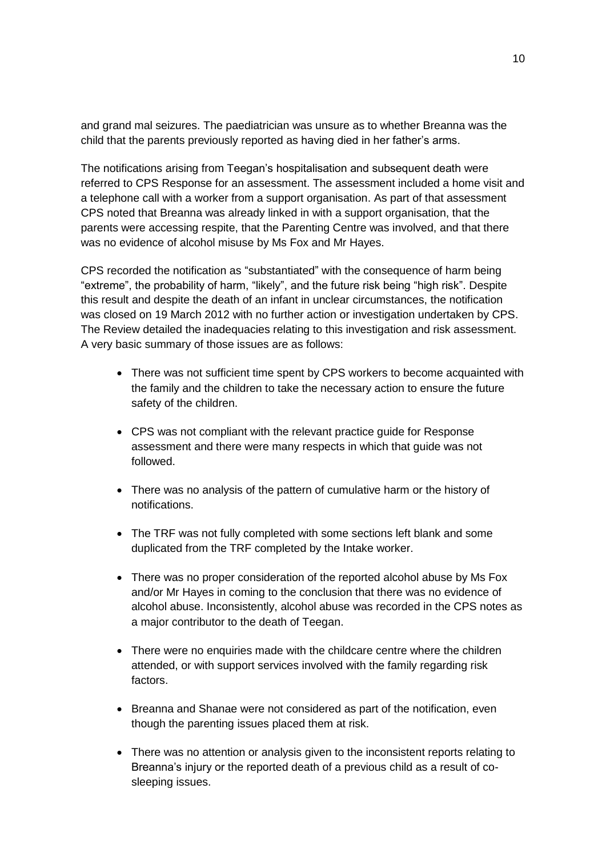and grand mal seizures. The paediatrician was unsure as to whether Breanna was the child that the parents previously reported as having died in her father's arms.

The notifications arising from Teegan's hospitalisation and subsequent death were referred to CPS Response for an assessment. The assessment included a home visit and a telephone call with a worker from a support organisation. As part of that assessment CPS noted that Breanna was already linked in with a support organisation, that the parents were accessing respite, that the Parenting Centre was involved, and that there was no evidence of alcohol misuse by Ms Fox and Mr Hayes.

CPS recorded the notification as "substantiated" with the consequence of harm being "extreme", the probability of harm, "likely", and the future risk being "high risk". Despite this result and despite the death of an infant in unclear circumstances, the notification was closed on 19 March 2012 with no further action or investigation undertaken by CPS. The Review detailed the inadequacies relating to this investigation and risk assessment. A very basic summary of those issues are as follows:

- There was not sufficient time spent by CPS workers to become acquainted with the family and the children to take the necessary action to ensure the future safety of the children.
- CPS was not compliant with the relevant practice guide for Response assessment and there were many respects in which that guide was not followed.
- There was no analysis of the pattern of cumulative harm or the history of notifications.
- The TRF was not fully completed with some sections left blank and some duplicated from the TRF completed by the Intake worker.
- There was no proper consideration of the reported alcohol abuse by Ms Fox and/or Mr Hayes in coming to the conclusion that there was no evidence of alcohol abuse. Inconsistently, alcohol abuse was recorded in the CPS notes as a major contributor to the death of Teegan.
- There were no enquiries made with the childcare centre where the children attended, or with support services involved with the family regarding risk factors.
- Breanna and Shanae were not considered as part of the notification, even though the parenting issues placed them at risk.
- There was no attention or analysis given to the inconsistent reports relating to Breanna's injury or the reported death of a previous child as a result of cosleeping issues.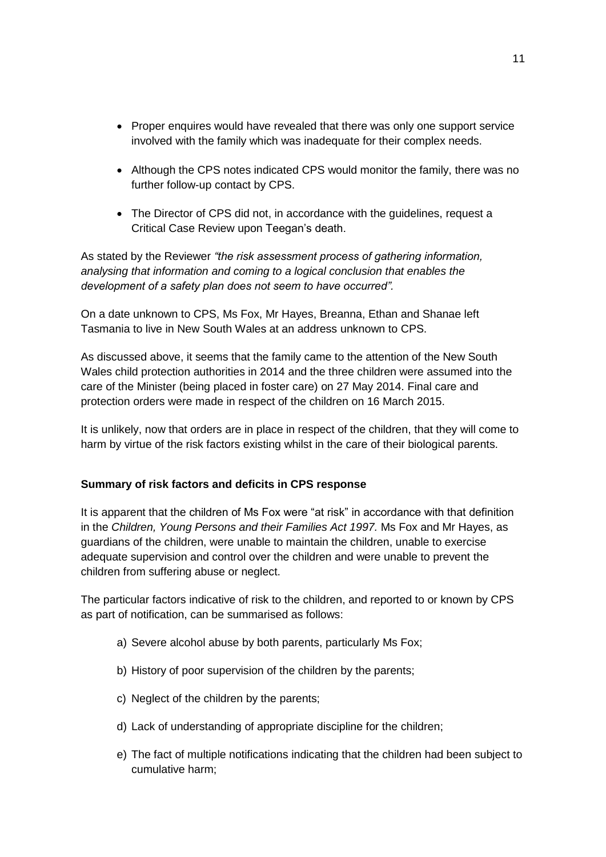- Proper enquires would have revealed that there was only one support service involved with the family which was inadequate for their complex needs.
- Although the CPS notes indicated CPS would monitor the family, there was no further follow-up contact by CPS.
- The Director of CPS did not, in accordance with the guidelines, request a Critical Case Review upon Teegan's death.

As stated by the Reviewer *"the risk assessment process of gathering information, analysing that information and coming to a logical conclusion that enables the development of a safety plan does not seem to have occurred".*

On a date unknown to CPS, Ms Fox, Mr Hayes, Breanna, Ethan and Shanae left Tasmania to live in New South Wales at an address unknown to CPS.

As discussed above, it seems that the family came to the attention of the New South Wales child protection authorities in 2014 and the three children were assumed into the care of the Minister (being placed in foster care) on 27 May 2014. Final care and protection orders were made in respect of the children on 16 March 2015.

It is unlikely, now that orders are in place in respect of the children, that they will come to harm by virtue of the risk factors existing whilst in the care of their biological parents.

## **Summary of risk factors and deficits in CPS response**

It is apparent that the children of Ms Fox were "at risk" in accordance with that definition in the *Children, Young Persons and their Families Act 1997.* Ms Fox and Mr Hayes, as guardians of the children, were unable to maintain the children, unable to exercise adequate supervision and control over the children and were unable to prevent the children from suffering abuse or neglect.

The particular factors indicative of risk to the children, and reported to or known by CPS as part of notification, can be summarised as follows:

- a) Severe alcohol abuse by both parents, particularly Ms Fox;
- b) History of poor supervision of the children by the parents;
- c) Neglect of the children by the parents;
- d) Lack of understanding of appropriate discipline for the children;
- e) The fact of multiple notifications indicating that the children had been subject to cumulative harm;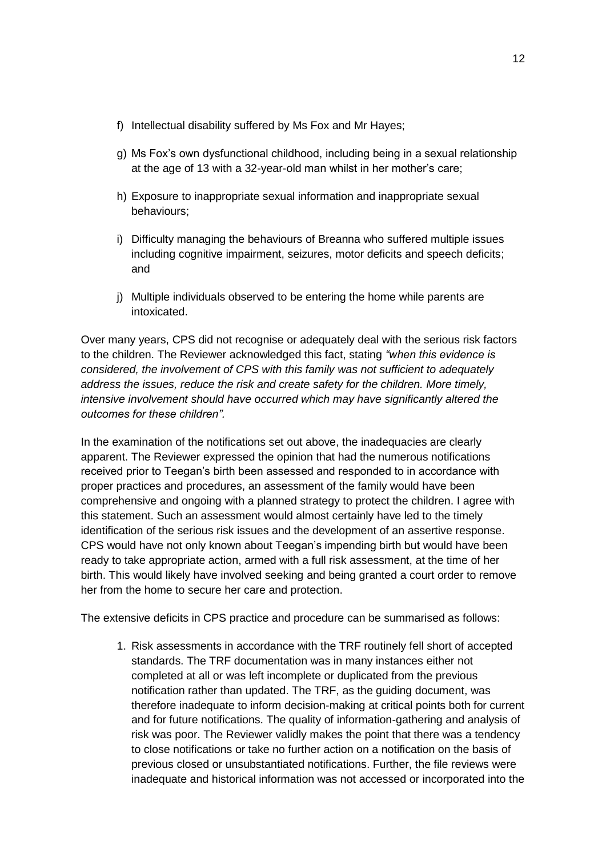- f) Intellectual disability suffered by Ms Fox and Mr Hayes;
- g) Ms Fox's own dysfunctional childhood, including being in a sexual relationship at the age of 13 with a 32-year-old man whilst in her mother's care;
- h) Exposure to inappropriate sexual information and inappropriate sexual behaviours;
- i) Difficulty managing the behaviours of Breanna who suffered multiple issues including cognitive impairment, seizures, motor deficits and speech deficits; and
- j) Multiple individuals observed to be entering the home while parents are intoxicated.

Over many years, CPS did not recognise or adequately deal with the serious risk factors to the children. The Reviewer acknowledged this fact, stating *"when this evidence is considered, the involvement of CPS with this family was not sufficient to adequately address the issues, reduce the risk and create safety for the children. More timely, intensive involvement should have occurred which may have significantly altered the outcomes for these children".*

In the examination of the notifications set out above, the inadequacies are clearly apparent. The Reviewer expressed the opinion that had the numerous notifications received prior to Teegan's birth been assessed and responded to in accordance with proper practices and procedures, an assessment of the family would have been comprehensive and ongoing with a planned strategy to protect the children. I agree with this statement. Such an assessment would almost certainly have led to the timely identification of the serious risk issues and the development of an assertive response. CPS would have not only known about Teegan's impending birth but would have been ready to take appropriate action, armed with a full risk assessment, at the time of her birth. This would likely have involved seeking and being granted a court order to remove her from the home to secure her care and protection.

The extensive deficits in CPS practice and procedure can be summarised as follows:

1. Risk assessments in accordance with the TRF routinely fell short of accepted standards. The TRF documentation was in many instances either not completed at all or was left incomplete or duplicated from the previous notification rather than updated. The TRF, as the guiding document, was therefore inadequate to inform decision-making at critical points both for current and for future notifications. The quality of information-gathering and analysis of risk was poor. The Reviewer validly makes the point that there was a tendency to close notifications or take no further action on a notification on the basis of previous closed or unsubstantiated notifications. Further, the file reviews were inadequate and historical information was not accessed or incorporated into the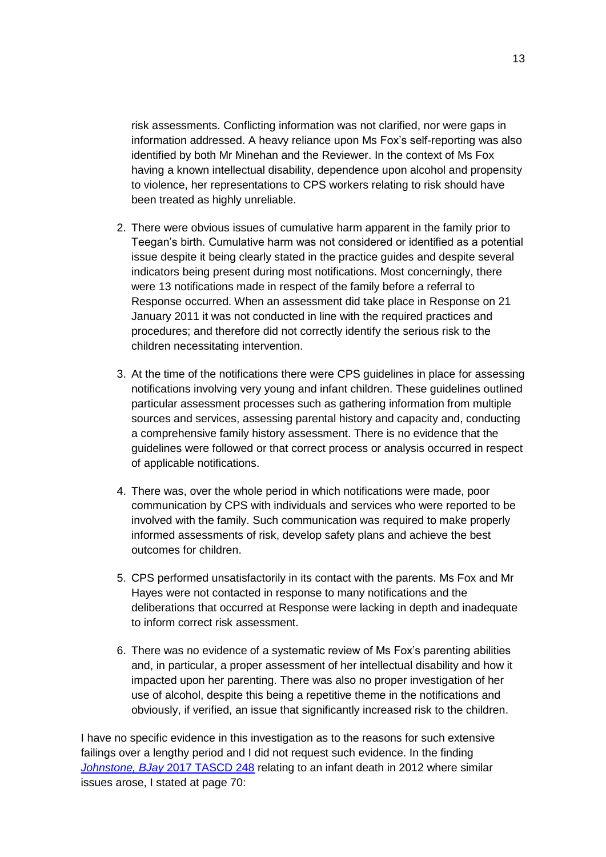risk assessments. Conflicting information was not clarified, nor were gaps in information addressed. A heavy reliance upon Ms Fox's self-reporting was also identified by both Mr Minehan and the Reviewer. In the context of Ms Fox having a known intellectual disability, dependence upon alcohol and propensity to violence, her representations to CPS workers relating to risk should have been treated as highly unreliable.

- 2. There were obvious issues of cumulative harm apparent in the family prior to Teegan's birth. Cumulative harm was not considered or identified as a potential issue despite it being clearly stated in the practice guides and despite several indicators being present during most notifications. Most concerningly, there were 13 notifications made in respect of the family before a referral to Response occurred. When an assessment did take place in Response on 21 January 2011 it was not conducted in line with the required practices and procedures; and therefore did not correctly identify the serious risk to the children necessitating intervention.
- 3. At the time of the notifications there were CPS guidelines in place for assessing notifications involving very young and infant children. These guidelines outlined particular assessment processes such as gathering information from multiple sources and services, assessing parental history and capacity and, conducting a comprehensive family history assessment. There is no evidence that the guidelines were followed or that correct process or analysis occurred in respect of applicable notifications.
- 4. There was, over the whole period in which notifications were made, poor communication by CPS with individuals and services who were reported to be involved with the family. Such communication was required to make properly informed assessments of risk, develop safety plans and achieve the best outcomes for children.
- 5. CPS performed unsatisfactorily in its contact with the parents. Ms Fox and Mr Hayes were not contacted in response to many notifications and the deliberations that occurred at Response were lacking in depth and inadequate to inform correct risk assessment.
- 6. There was no evidence of a systematic review of Ms Fox's parenting abilities and, in particular, a proper assessment of her intellectual disability and how it impacted upon her parenting. There was also no proper investigation of her use of alcohol, despite this being a repetitive theme in the notifications and obviously, if verified, an issue that significantly increased risk to the children.

I have no specific evidence in this investigation as to the reasons for such extensive failings over a lengthy period and I did not request such evidence. In the finding *Johnstone, BJay* [2017 TASCD 248](http://www.magistratescourt.tas.gov.au/__data/assets/pdf_file/0010/383581/BJay_Johnstone.pdf) relating to an infant death in 2012 where similar issues arose, I stated at page 70: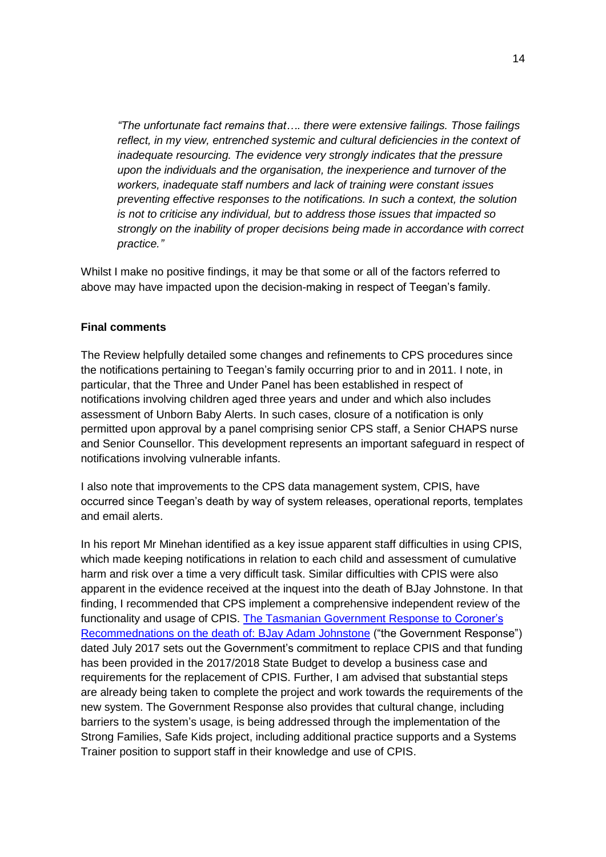*"The unfortunate fact remains that…. there were extensive failings. Those failings reflect, in my view, entrenched systemic and cultural deficiencies in the context of inadequate resourcing. The evidence very strongly indicates that the pressure upon the individuals and the organisation, the inexperience and turnover of the workers, inadequate staff numbers and lack of training were constant issues preventing effective responses to the notifications. In such a context, the solution is not to criticise any individual, but to address those issues that impacted so strongly on the inability of proper decisions being made in accordance with correct practice."*

Whilst I make no positive findings, it may be that some or all of the factors referred to above may have impacted upon the decision-making in respect of Teegan's family.

#### **Final comments**

The Review helpfully detailed some changes and refinements to CPS procedures since the notifications pertaining to Teegan's family occurring prior to and in 2011. I note, in particular, that the Three and Under Panel has been established in respect of notifications involving children aged three years and under and which also includes assessment of Unborn Baby Alerts. In such cases, closure of a notification is only permitted upon approval by a panel comprising senior CPS staff, a Senior CHAPS nurse and Senior Counsellor. This development represents an important safeguard in respect of notifications involving vulnerable infants.

I also note that improvements to the CPS data management system, CPIS, have occurred since Teegan's death by way of system releases, operational reports, templates and email alerts.

In his report Mr Minehan identified as a key issue apparent staff difficulties in using CPIS, which made keeping notifications in relation to each child and assessment of cumulative harm and risk over a time a very difficult task. Similar difficulties with CPIS were also apparent in the evidence received at the inquest into the death of BJay Johnstone. In that finding, I recommended that CPS implement a comprehensive independent review of the functionality and usage of CPIS. [The Tasmanian Government Response](http://www.dhhs.tas.gov.au/__data/assets/pdf_file/0005/256712/Government_Response_to_Coronial_Recommendations_on_the_Death_of_Baby_Bjay_Johnstone.pdf) to Coroner's [Recommednations on the death of: BJay Adam Johnstone](http://www.dhhs.tas.gov.au/__data/assets/pdf_file/0005/256712/Government_Response_to_Coronial_Recommendations_on_the_Death_of_Baby_Bjay_Johnstone.pdf) ("the Government Response") dated July 2017 sets out the Government's commitment to replace CPIS and that funding has been provided in the 2017/2018 State Budget to develop a business case and requirements for the replacement of CPIS. Further, I am advised that substantial steps are already being taken to complete the project and work towards the requirements of the new system. The Government Response also provides that cultural change, including barriers to the system's usage, is being addressed through the implementation of the Strong Families, Safe Kids project, including additional practice supports and a Systems Trainer position to support staff in their knowledge and use of CPIS.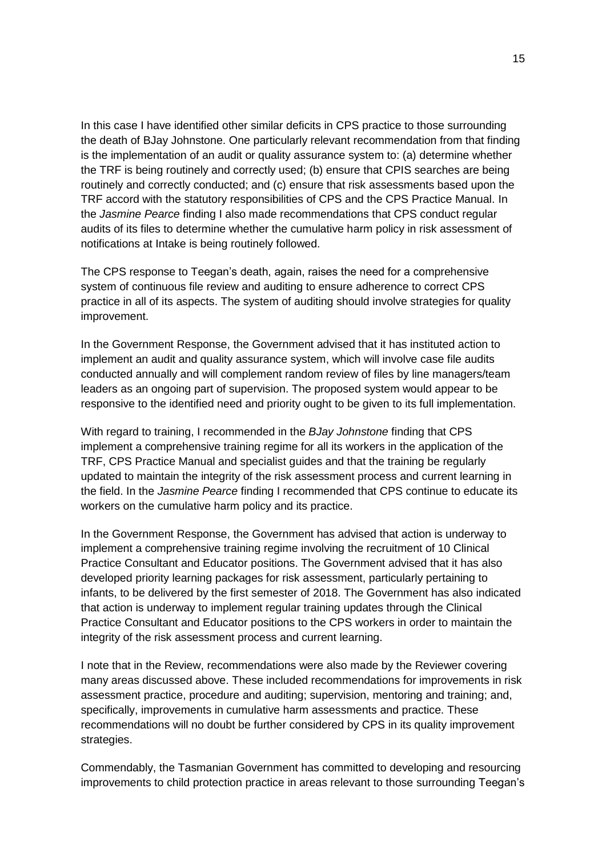In this case I have identified other similar deficits in CPS practice to those surrounding the death of BJay Johnstone. One particularly relevant recommendation from that finding is the implementation of an audit or quality assurance system to: (a) determine whether the TRF is being routinely and correctly used; (b) ensure that CPIS searches are being routinely and correctly conducted; and (c) ensure that risk assessments based upon the TRF accord with the statutory responsibilities of CPS and the CPS Practice Manual. In the *Jasmine Pearce* finding I also made recommendations that CPS conduct regular audits of its files to determine whether the cumulative harm policy in risk assessment of notifications at Intake is being routinely followed.

The CPS response to Teegan's death, again, raises the need for a comprehensive system of continuous file review and auditing to ensure adherence to correct CPS practice in all of its aspects. The system of auditing should involve strategies for quality improvement.

In the Government Response, the Government advised that it has instituted action to implement an audit and quality assurance system, which will involve case file audits conducted annually and will complement random review of files by line managers/team leaders as an ongoing part of supervision. The proposed system would appear to be responsive to the identified need and priority ought to be given to its full implementation.

With regard to training, I recommended in the *BJay Johnstone* finding that CPS implement a comprehensive training regime for all its workers in the application of the TRF, CPS Practice Manual and specialist guides and that the training be regularly updated to maintain the integrity of the risk assessment process and current learning in the field. In the *Jasmine Pearce* finding I recommended that CPS continue to educate its workers on the cumulative harm policy and its practice.

In the Government Response, the Government has advised that action is underway to implement a comprehensive training regime involving the recruitment of 10 Clinical Practice Consultant and Educator positions. The Government advised that it has also developed priority learning packages for risk assessment, particularly pertaining to infants, to be delivered by the first semester of 2018. The Government has also indicated that action is underway to implement regular training updates through the Clinical Practice Consultant and Educator positions to the CPS workers in order to maintain the integrity of the risk assessment process and current learning.

I note that in the Review, recommendations were also made by the Reviewer covering many areas discussed above. These included recommendations for improvements in risk assessment practice, procedure and auditing; supervision, mentoring and training; and, specifically, improvements in cumulative harm assessments and practice. These recommendations will no doubt be further considered by CPS in its quality improvement strategies.

Commendably, the Tasmanian Government has committed to developing and resourcing improvements to child protection practice in areas relevant to those surrounding Teegan's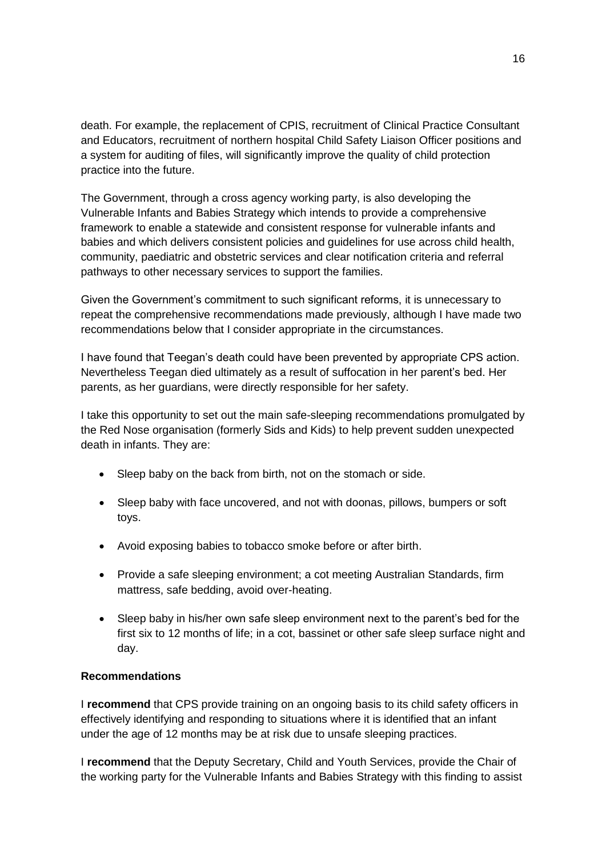death. For example, the replacement of CPIS, recruitment of Clinical Practice Consultant and Educators, recruitment of northern hospital Child Safety Liaison Officer positions and a system for auditing of files, will significantly improve the quality of child protection practice into the future.

The Government, through a cross agency working party, is also developing the Vulnerable Infants and Babies Strategy which intends to provide a comprehensive framework to enable a statewide and consistent response for vulnerable infants and babies and which delivers consistent policies and guidelines for use across child health, community, paediatric and obstetric services and clear notification criteria and referral pathways to other necessary services to support the families.

Given the Government's commitment to such significant reforms, it is unnecessary to repeat the comprehensive recommendations made previously, although I have made two recommendations below that I consider appropriate in the circumstances.

I have found that Teegan's death could have been prevented by appropriate CPS action. Nevertheless Teegan died ultimately as a result of suffocation in her parent's bed. Her parents, as her guardians, were directly responsible for her safety.

I take this opportunity to set out the main safe-sleeping recommendations promulgated by the Red Nose organisation (formerly Sids and Kids) to help prevent sudden unexpected death in infants. They are:

- Sleep baby on the back from birth, not on the stomach or side.
- Sleep baby with face uncovered, and not with doonas, pillows, bumpers or soft toys.
- Avoid exposing babies to tobacco smoke before or after birth.
- Provide a safe sleeping environment; a cot meeting Australian Standards, firm mattress, safe bedding, avoid over-heating.
- Sleep baby in his/her own safe sleep environment next to the parent's bed for the first six to 12 months of life; in a cot, bassinet or other safe sleep surface night and day.

## **Recommendations**

I **recommend** that CPS provide training on an ongoing basis to its child safety officers in effectively identifying and responding to situations where it is identified that an infant under the age of 12 months may be at risk due to unsafe sleeping practices.

I **recommend** that the Deputy Secretary, Child and Youth Services, provide the Chair of the working party for the Vulnerable Infants and Babies Strategy with this finding to assist